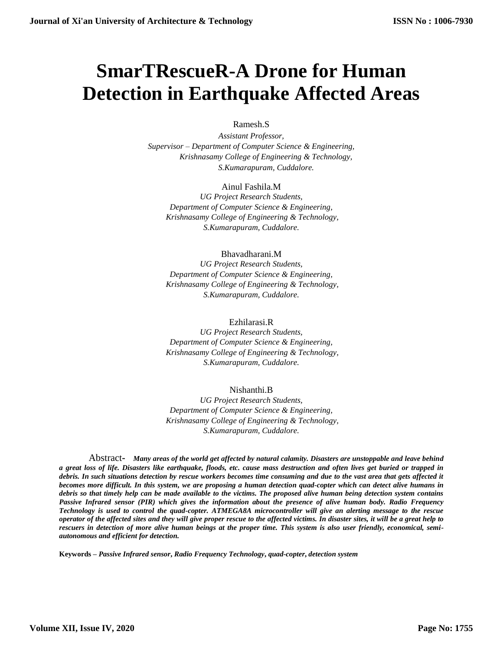# **SmarTRescueR-A Drone for Human Detection in Earthquake Affected Areas**

# Ramesh.S

*Assistant Professor, Supervisor – Department of Computer Science & Engineering, Krishnasamy College of Engineering & Technology, S.Kumarapuram, Cuddalore.*

## Ainul Fashila.M

*UG Project Research Students, Department of Computer Science & Engineering, Krishnasamy College of Engineering & Technology, S.Kumarapuram, Cuddalore.*

## Bhavadharani.M

*UG Project Research Students, Department of Computer Science & Engineering, Krishnasamy College of Engineering & Technology, S.Kumarapuram, Cuddalore.*

#### Ezhilarasi.R

*UG Project Research Students, Department of Computer Science & Engineering, Krishnasamy College of Engineering & Technology, S.Kumarapuram, Cuddalore.*

## Nishanthi.B

*UG Project Research Students, Department of Computer Science & Engineering, Krishnasamy College of Engineering & Technology, S.Kumarapuram, Cuddalore.*

Abstract**-** *Many areas of the world get affected by natural calamity. Disasters are unstoppable and leave behind a great loss of life. Disasters like earthquake, floods, etc. cause mass destruction and often lives get buried or trapped in debris. In such situations detection by rescue workers becomes time consuming and due to the vast area that gets affected it becomes more difficult. In this system, we are proposing a human detection quad-copter which can detect alive humans in debris so that timely help can be made available to the victims. The proposed alive human being detection system contains Passive Infrared sensor (PIR) which gives the information about the presence of alive human body. Radio Frequency Technology is used to control the quad-copter. ATMEGA8A microcontroller will give an alerting message to the rescue operator of the affected sites and they will give proper rescue to the affected victims. In disaster sites, it will be a great help to rescuers in detection of more alive human beings at the proper time. This system is also user friendly, economical, semiautonomous and efficient for detection.*

**Keywords –** *Passive Infrared sensor***,** *Radio Frequency Technology***,** *quad-copter***,** *detection system*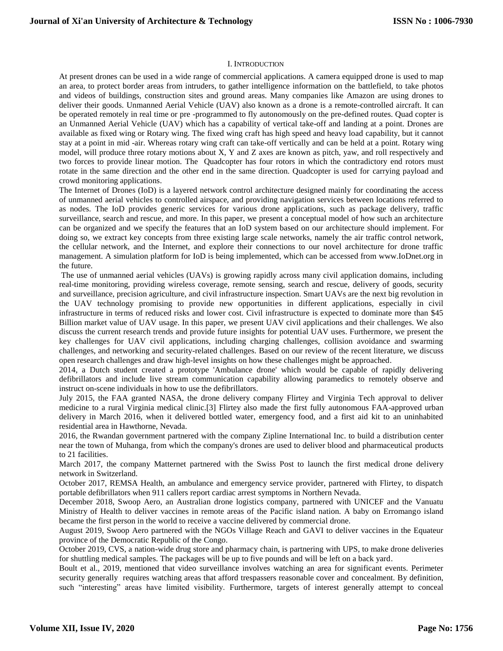#### I. INTRODUCTION

At present drones can be used in a wide range of commercial applications. A camera equipped drone is used to map an area, to protect border areas from intruders, to gather intelligence information on the battlefield, to take photos and videos of buildings, construction sites and ground areas. Many companies like Amazon are using drones to deliver their goods. Unmanned Aerial Vehicle (UAV) also known as a drone is a remote-controlled aircraft. It can be operated remotely in real time or pre -programmed to fly autonomously on the pre-defined routes. Quad copter is an Unmanned Aerial Vehicle (UAV) which has a capability of vertical take-off and landing at a point. Drones are available as fixed wing or Rotary wing. The fixed wing craft has high speed and heavy load capability, but it cannot stay at a point in mid -air. Whereas rotary wing craft can take-off vertically and can be held at a point. Rotary wing model, will produce three rotary motions about X, Y and Z axes are known as pitch, yaw, and roll respectively and two forces to provide linear motion. The Quadcopter has four rotors in which the contradictory end rotors must rotate in the same direction and the other end in the same direction. Quadcopter is used for carrying payload and crowd monitoring applications.

The Internet of Drones (IoD) is a layered network control architecture designed mainly for coordinating the access of unmanned aerial vehicles to controlled airspace, and providing navigation services between locations referred to as nodes. The IoD provides generic services for various drone applications, such as package delivery, traffic surveillance, search and rescue, and more. In this paper, we present a conceptual model of how such an architecture can be organized and we specify the features that an IoD system based on our architecture should implement. For doing so, we extract key concepts from three existing large scale networks, namely the air traffic control network, the cellular network, and the Internet, and explore their connections to our novel architecture for drone traffic management. A simulation platform for IoD is being implemented, which can be accessed from www.IoDnet.org in the future.

The use of unmanned aerial vehicles (UAVs) is growing rapidly across many civil application domains, including real-time monitoring, providing wireless coverage, remote sensing, search and rescue, delivery of goods, security and surveillance, precision agriculture, and civil infrastructure inspection. Smart UAVs are the next big revolution in the UAV technology promising to provide new opportunities in different applications, especially in civil infrastructure in terms of reduced risks and lower cost. Civil infrastructure is expected to dominate more than \$45 Billion market value of UAV usage. In this paper, we present UAV civil applications and their challenges. We also discuss the current research trends and provide future insights for potential UAV uses. Furthermore, we present the key challenges for UAV civil applications, including charging challenges, collision avoidance and swarming challenges, and networking and security-related challenges. Based on our review of the recent literature, we discuss open research challenges and draw high-level insights on how these challenges might be approached.

2014, a Dutch student created a prototype 'Ambulance drone' which would be capable of rapidly delivering defibrillators and include live stream communication capability allowing paramedics to remotely observe and instruct on-scene individuals in how to use the defibrillators.

July 2015, the FAA granted NASA, the drone delivery company Flirtey and Virginia Tech approval to deliver medicine to a rural Virginia medical clinic.[3] Flirtey also made the first fully autonomous FAA-approved urban delivery in March 2016, when it delivered bottled water, emergency food, and a first aid kit to an uninhabited residential area in Hawthorne, Nevada.

2016, the Rwandan government partnered with the company Zipline International Inc. to build a distribution center near the town of Muhanga, from which the company's drones are used to deliver blood and pharmaceutical products to 21 facilities.

March 2017, the company Matternet partnered with the Swiss Post to launch the first medical drone delivery network in Switzerland.

October 2017, REMSA Health, an ambulance and emergency service provider, partnered with Flirtey, to dispatch portable defibrillators when 911 callers report cardiac arrest symptoms in Northern Nevada.

December 2018, Swoop Aero, an Australian drone logistics company, partnered with UNICEF and the Vanuatu Ministry of Health to deliver vaccines in remote areas of the Pacific island nation. A baby on Erromango island became the first person in the world to receive a vaccine delivered by commercial drone.

August 2019, Swoop Aero partnered with the NGOs Village Reach and GAVI to deliver vaccines in the Equateur province of the Democratic Republic of the Congo.

October 2019, CVS, a nation-wide drug store and pharmacy chain, is partnering with UPS, to make drone deliveries for shuttling medical samples. The packages will be up to five pounds and will be left on a back yard.

Boult et al., 2019, mentioned that video surveillance involves watching an area for significant events. Perimeter security generally requires watching areas that afford trespassers reasonable cover and concealment. By definition, such "interesting" areas have limited visibility. Furthermore, targets of interest generally attempt to conceal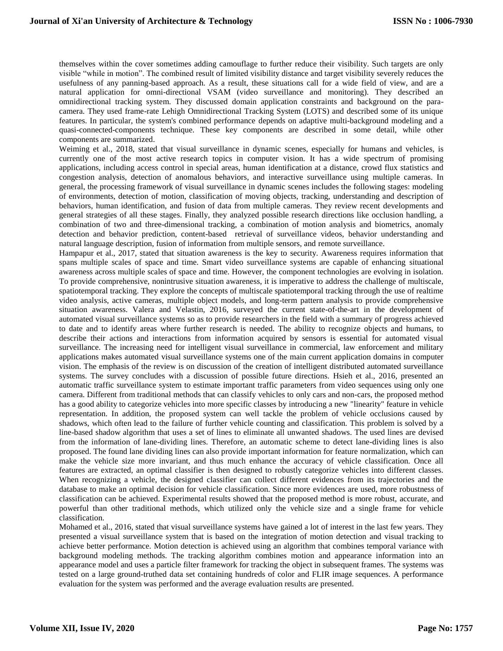themselves within the cover sometimes adding camouflage to further reduce their visibility. Such targets are only visible "while in motion". The combined result of limited visibility distance and target visibility severely reduces the usefulness of any panning-based approach. As a result, these situations call for a wide field of view, and are a natural application for omni-directional VSAM (video surveillance and monitoring). They described an omnidirectional tracking system. They discussed domain application constraints and background on the paracamera. They used frame-rate Lehigh Omnidirectional Tracking System (LOTS) and described some of its unique features. In particular, the system's combined performance depends on adaptive multi-background modeling and a quasi-connected-components technique. These key components are described in some detail, while other components are summarized.

Weiming et al., 2018, stated that visual surveillance in dynamic scenes, especially for humans and vehicles, is currently one of the most active research topics in computer vision. It has a wide spectrum of promising applications, including access control in special areas, human identification at a distance, crowd flux statistics and congestion analysis, detection of anomalous behaviors, and interactive surveillance using multiple cameras. In general, the processing framework of visual surveillance in dynamic scenes includes the following stages: modeling of environments, detection of motion, classification of moving objects, tracking, understanding and description of behaviors, human identification, and fusion of data from multiple cameras. They review recent developments and general strategies of all these stages. Finally, they analyzed possible research directions like occlusion handling, a combination of two and three-dimensional tracking, a combination of motion analysis and biometrics, anomaly detection and behavior prediction, content-based retrieval of surveillance videos, behavior understanding and natural language description, fusion of information from multiple sensors, and remote surveillance.

Hampapur et al., 2017, stated that situation awareness is the key to security. Awareness requires information that spans multiple scales of space and time. Smart video surveillance systems are capable of enhancing situational awareness across multiple scales of space and time. However, the component technologies are evolving in isolation. To provide comprehensive, nonintrusive situation awareness, it is imperative to address the challenge of multiscale, spatiotemporal tracking. They explore the concepts of multiscale spatiotemporal tracking through the use of realtime video analysis, active cameras, multiple object models, and long-term pattern analysis to provide comprehensive situation awareness. Valera and Velastin, 2016, surveyed the current state-of-the-art in the development of automated visual surveillance systems so as to provide researchers in the field with a summary of progress achieved to date and to identify areas where further research is needed. The ability to recognize objects and humans, to describe their actions and interactions from information acquired by sensors is essential for automated visual surveillance. The increasing need for intelligent visual surveillance in commercial, law enforcement and military applications makes automated visual surveillance systems one of the main current application domains in computer vision. The emphasis of the review is on discussion of the creation of intelligent distributed automated surveillance systems. The survey concludes with a discussion of possible future directions. Hsieh et al., 2016, presented an automatic traffic surveillance system to estimate important traffic parameters from video sequences using only one camera. Different from traditional methods that can classify vehicles to only cars and non-cars, the proposed method has a good ability to categorize vehicles into more specific classes by introducing a new "linearity" feature in vehicle representation. In addition, the proposed system can well tackle the problem of vehicle occlusions caused by shadows, which often lead to the failure of further vehicle counting and classification. This problem is solved by a line-based shadow algorithm that uses a set of lines to eliminate all unwanted shadows. The used lines are devised from the information of lane-dividing lines. Therefore, an automatic scheme to detect lane-dividing lines is also proposed. The found lane dividing lines can also provide important information for feature normalization, which can make the vehicle size more invariant, and thus much enhance the accuracy of vehicle classification. Once all features are extracted, an optimal classifier is then designed to robustly categorize vehicles into different classes. When recognizing a vehicle, the designed classifier can collect different evidences from its trajectories and the database to make an optimal decision for vehicle classification. Since more evidences are used, more robustness of classification can be achieved. Experimental results showed that the proposed method is more robust, accurate, and powerful than other traditional methods, which utilized only the vehicle size and a single frame for vehicle classification.

Mohamed et al., 2016, stated that visual surveillance systems have gained a lot of interest in the last few years. They presented a visual surveillance system that is based on the integration of motion detection and visual tracking to achieve better performance. Motion detection is achieved using an algorithm that combines temporal variance with background modeling methods. The tracking algorithm combines motion and appearance information into an appearance model and uses a particle filter framework for tracking the object in subsequent frames. The systems was tested on a large ground-truthed data set containing hundreds of color and FLIR image sequences. A performance evaluation for the system was performed and the average evaluation results are presented.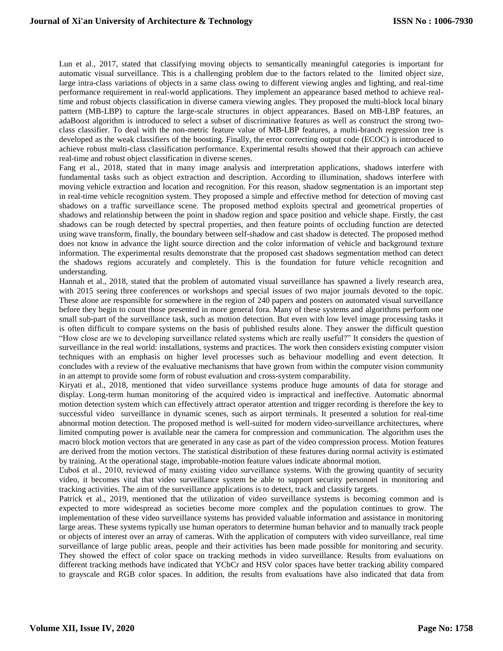Lun et al., 2017, stated that classifying moving objects to semantically meaningful categories is important for automatic visual surveillance. This is a challenging problem due to the factors related to the limited object size, large intra-class variations of objects in a same class owing to different viewing angles and lighting, and real-time performance requirement in real-world applications. They implement an appearance based method to achieve realtime and robust objects classification in diverse camera viewing angles. They proposed the multi-block local binary pattern (MB-LBP) to capture the large-scale structures in object appearances. Based on MB-LBP features, an adaBoost algorithm is introduced to select a subset of discriminative features as well as construct the strong twoclass classifier. To deal with the non-metric feature value of MB-LBP features, a multi-branch regression tree is developed as the weak classifiers of the boosting. Finally, the error correcting output code (ECOC) is introduced to achieve robust multi-class classification performance. Experimental results showed that their approach can achieve real-time and robust object classification in diverse scenes.

Fang et al., 2018, stated that in many image analysis and interpretation applications, shadows interfere with fundamental tasks such as object extraction and description. According to illumination, shadows interfere with moving vehicle extraction and location and recognition. For this reason, shadow segmentation is an important step in real-time vehicle recognition system. They proposed a simple and effective method for detection of moving cast shadows on a traffic surveillance scene. The proposed method exploits spectral and geometrical properties of shadows and relationship between the point in shadow region and space position and vehicle shape. Firstly, the cast shadows can be rough detected by spectral properties, and then feature points of occluding function are detected using wave transform, finally, the boundary between self-shadow and cast shadow is detected. The proposed method does not know in advance the light source direction and the color information of vehicle and background texture information. The experimental results demonstrate that the proposed cast shadows segmentation method can detect the shadows regions accurately and completely. This is the foundation for future vehicle recognition and understanding.

Hannah et al., 2018, stated that the problem of automated visual surveillance has spawned a lively research area, with 2015 seeing three conferences or workshops and special issues of two major journals devoted to the topic. These alone are responsible for somewhere in the region of 240 papers and posters on automated visual surveillance before they begin to count those presented in more general fora. Many of these systems and algorithms perform one small sub-part of the surveillance task, such as motion detection. But even with low level image processing tasks it is often difficult to compare systems on the basis of published results alone. They answer the difficult question "How close are we to developing surveillance related systems which are really useful?" It considers the question of surveillance in the real world: installations, systems and practices. The work then considers existing computer vision techniques with an emphasis on higher level processes such as behaviour modelling and event detection. It concludes with a review of the evaluative mechanisms that have grown from within the computer vision community in an attempt to provide some form of robust evaluation and cross-system comparability.

Kiryati et al., 2018, mentioned that video surveillance systems produce huge amounts of data for storage and display. Long-term human monitoring of the acquired video is impractical and ineffective. Automatic abnormal motion detection system which can effectively attract operator attention and trigger recording is therefore the key to successful video surveillance in dynamic scenes, such as airport terminals. It presented a solution for real-time abnormal motion detection. The proposed method is well-suited for modern video-surveillance architectures, where limited computing power is available near the camera for compression and communication. The algorithm uses the macro block motion vectors that are generated in any case as part of the video compression process. Motion features are derived from the motion vectors. The statistical distribution of these features during normal activity is estimated by training. At the operational stage, improbable-motion feature values indicate abnormal motion.

Ľuboš et al., 2010, reviewed of many existing video surveillance systems. With the growing quantity of security video, it becomes vital that video surveillance system be able to support security personnel in monitoring and tracking activities. The aim of the surveillance applications is to detect, track and classify targets.

Patrick et al., 2019, mentioned that the utilization of video surveillance systems is becoming common and is expected to more widespread as societies become more complex and the population continues to grow. The implementation of these video surveillance systems has provided valuable information and assistance in monitoring large areas. These systems typically use human operators to determine human behavior and to manually track people or objects of interest over an array of cameras. With the application of computers with video surveillance, real time surveillance of large public areas, people and their activities has been made possible for monitoring and security. They showed the effect of color space on tracking methods in video surveillance. Results from evaluations on different tracking methods have indicated that YCbCr and HSV color spaces have better tracking ability compared to grayscale and RGB color spaces. In addition, the results from evaluations have also indicated that data from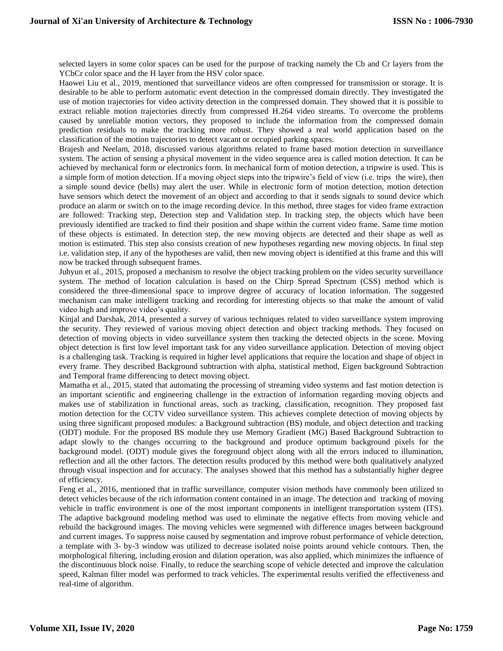selected layers in some color spaces can be used for the purpose of tracking namely the Cb and Cr layers from the YCbCr color space and the H layer from the HSV color space.

Haowei Liu et al., 2019, mentioned that surveillance videos are often compressed for transmission or storage. It is desirable to be able to perform automatic event detection in the compressed domain directly. They investigated the use of motion trajectories for video activity detection in the compressed domain. They showed that it is possible to extract reliable motion trajectories directly from compressed H.264 video streams. To overcome the problems caused by unreliable motion vectors, they proposed to include the information from the compressed domain prediction residuals to make the tracking more robust. They showed a real world application based on the classification of the motion trajectories to detect vacant or occupied parking spaces.

Brajesh and Neelam, 2018, discussed various algorithms related to frame based motion detection in surveillance system. The action of sensing a physical movement in the video sequence area is called motion detection. It can be achieved by mechanical form or electronics form. In mechanical form of motion detection, a tripwire is used. This is a simple form of motion detection. If a moving object steps into the tripwire's field of view (i.e. trips the wire), then a simple sound device (bells) may alert the user. While in electronic form of motion detection, motion detection have sensors which detect the movement of an object and according to that it sends signals to sound device which produce an alarm or switch on to the image recording device. In this method, three stages for video frame extraction are followed: Tracking step, Detection step and Validation step. In tracking step, the objects which have been previously identified are tracked to find their position and shape within the current video frame. Same time motion of these objects is estimated. In detection step, the new moving objects are detected and their shape as well as motion is estimated. This step also consists creation of new hypotheses regarding new moving objects. In final step i.e. validation step, if any of the hypotheses are valid, then new moving object is identified at this frame and this will now be tracked through subsequent frames.

Juhyun et al., 2015, proposed a mechanism to resolve the object tracking problem on the video security surveillance system. The method of location calculation is based on the Chirp Spread Spectrum (CSS) method which is considered the three-dimensional space to improve degree of accuracy of location information. The suggested mechanism can make intelligent tracking and recording for interesting objects so that make the amount of valid video high and improve video's quality.

Kinjal and Darshak, 2014, presented a survey of various techniques related to video surveillance system improving the security. They reviewed of various moving object detection and object tracking methods. They focused on detection of moving objects in video surveillance system then tracking the detected objects in the scene. Moving object detection is first low level important task for any video surveillance application. Detection of moving object is a challenging task. Tracking is required in higher level applications that require the location and shape of object in every frame. They described Background subtraction with alpha, statistical method, Eigen background Subtraction and Temporal frame differencing to detect moving object.

Mamatha et al., 2015, stated that automating the processing of streaming video systems and fast motion detection is an important scientific and engineering challenge in the extraction of information regarding moving objects and makes use of stabilization in functional areas, such as tracking, classification, recognition. They proposed fast motion detection for the CCTV video surveillance system. This achieves complete detection of moving objects by using three significant proposed modules: a Background subtraction (BS) module, and object detection and tracking (ODT) module. For the proposed BS module they use Memory Gradient (MG) Based Background Subtraction to adapt slowly to the changes occurring to the background and produce optimum background pixels for the background model. (ODT) module gives the foreground object along with all the errors induced to illumination, reflection and all the other factors. The detection results produced by this method were both qualitatively analyzed through visual inspection and for accuracy. The analyses showed that this method has a substantially higher degree of efficiency.

Feng et al., 2016, mentioned that in traffic surveillance, computer vision methods have commonly been utilized to detect vehicles because of the rich information content contained in an image. The detection and tracking of moving vehicle in traffic environment is one of the most important components in intelligent transportation system (ITS). The adaptive background modeling method was used to eliminate the negative effects from moving vehicle and rebuild the background images. The moving vehicles were segmented with difference images between background and current images. To suppress noise caused by segmentation and improve robust performance of vehicle detection, a template with 3- by-3 window was utilized to decrease isolated noise points around vehicle contours. Then, the morphological filtering, including erosion and dilation operation, was also applied, which minimizes the influence of the discontinuous block noise. Finally, to reduce the searching scope of vehicle detected and improve the calculation speed, Kalman filter model was performed to track vehicles. The experimental results verified the effectiveness and real-time of algorithm.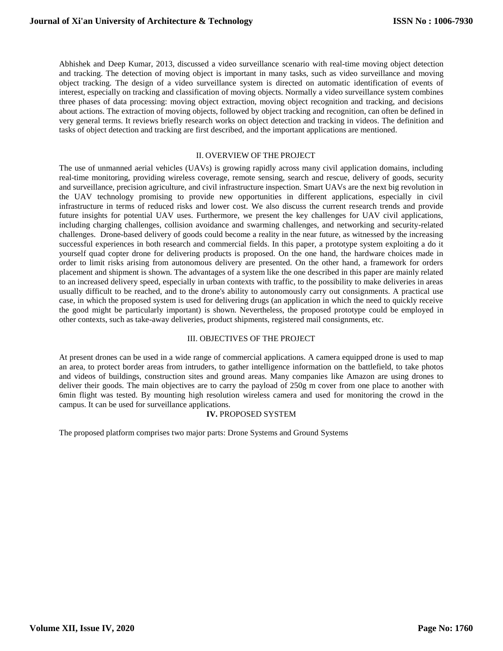Abhishek and Deep Kumar, 2013, discussed a video surveillance scenario with real-time moving object detection and tracking. The detection of moving object is important in many tasks, such as video surveillance and moving object tracking. The design of a video surveillance system is directed on automatic identification of events of interest, especially on tracking and classification of moving objects. Normally a video surveillance system combines three phases of data processing: moving object extraction, moving object recognition and tracking, and decisions about actions. The extraction of moving objects, followed by object tracking and recognition, can often be defined in very general terms. It reviews briefly research works on object detection and tracking in videos. The definition and tasks of object detection and tracking are first described, and the important applications are mentioned.

#### II. OVERVIEW OF THE PROJECT

The use of unmanned aerial vehicles (UAVs) is growing rapidly across many civil application domains, including real-time monitoring, providing wireless coverage, remote sensing, search and rescue, delivery of goods, security and surveillance, precision agriculture, and civil infrastructure inspection. Smart UAVs are the next big revolution in the UAV technology promising to provide new opportunities in different applications, especially in civil infrastructure in terms of reduced risks and lower cost. We also discuss the current research trends and provide future insights for potential UAV uses. Furthermore, we present the key challenges for UAV civil applications, including charging challenges, collision avoidance and swarming challenges, and networking and security-related challenges. Drone-based delivery of goods could become a reality in the near future, as witnessed by the increasing successful experiences in both research and commercial fields. In this paper, a prototype system exploiting a do it yourself quad copter drone for delivering products is proposed. On the one hand, the hardware choices made in order to limit risks arising from autonomous delivery are presented. On the other hand, a framework for orders placement and shipment is shown. The advantages of a system like the one described in this paper are mainly related to an increased delivery speed, especially in urban contexts with traffic, to the possibility to make deliveries in areas usually difficult to be reached, and to the drone's ability to autonomously carry out consignments. A practical use case, in which the proposed system is used for delivering drugs (an application in which the need to quickly receive the good might be particularly important) is shown. Nevertheless, the proposed prototype could be employed in other contexts, such as take-away deliveries, product shipments, registered mail consignments, etc.

#### III. OBJECTIVES OF THE PROJECT

At present drones can be used in a wide range of commercial applications. A camera equipped drone is used to map an area, to protect border areas from intruders, to gather intelligence information on the battlefield, to take photos and videos of buildings, construction sites and ground areas. Many companies like Amazon are using drones to deliver their goods. The main objectives are to carry the payload of 250g m cover from one place to another with 6min flight was tested. By mounting high resolution wireless camera and used for monitoring the crowd in the campus. It can be used for surveillance applications.

## **IV.** PROPOSED SYSTEM

The proposed platform comprises two major parts: Drone Systems and Ground Systems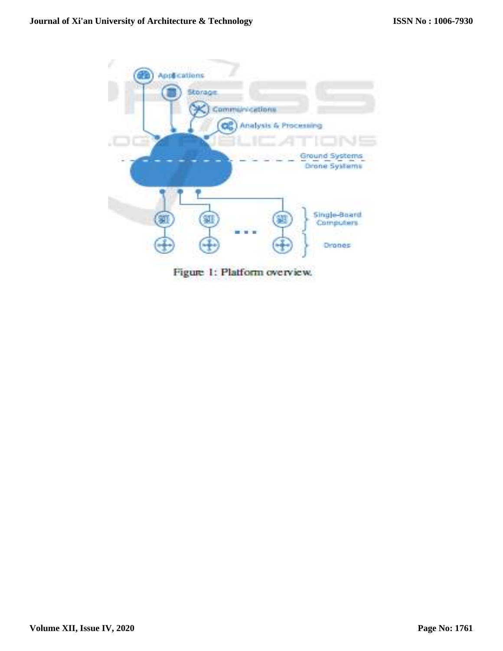

Figure 1: Platform overview.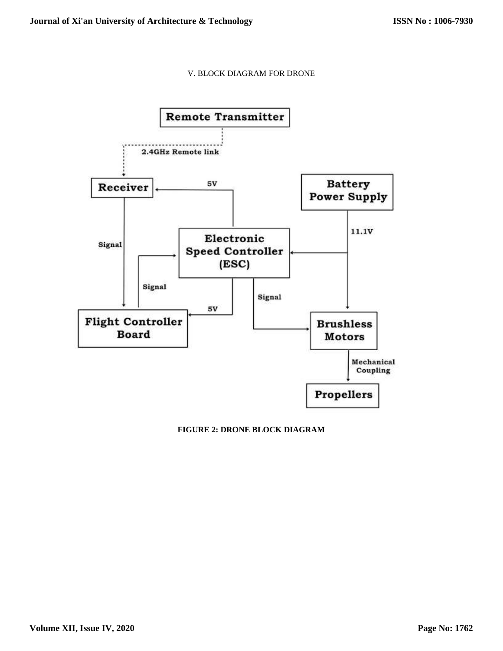# V. BLOCK DIAGRAM FOR DRONE



# **FIGURE 2: DRONE BLOCK DIAGRAM**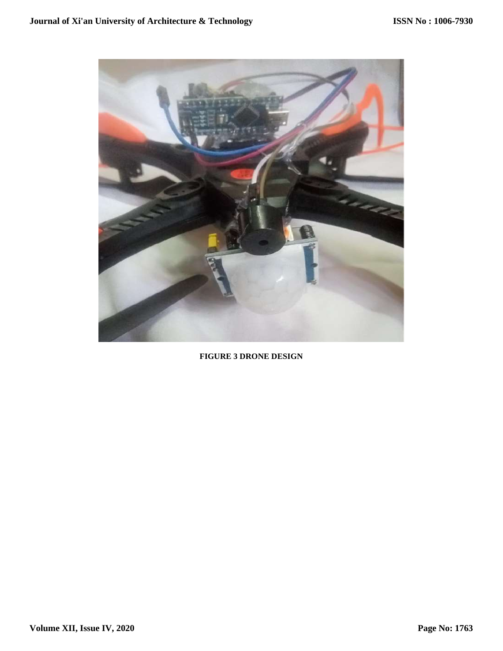

**FIGURE 3 DRONE DESIGN**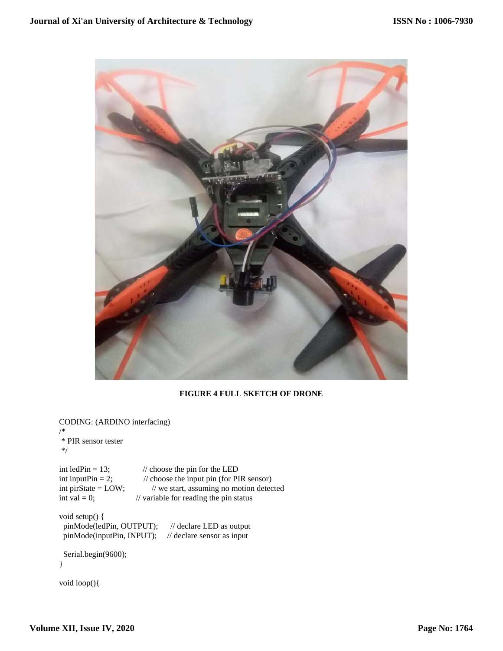

# **FIGURE 4 FULL SKETCH OF DRONE**

CODING: (ARDINO interfacing) /\* \* PIR sensor tester

```
*/
```
int ledPin = 13;  $\frac{1}{2}$  // choose the pin for the LED int inputPin = 2;  $\frac{1}{2}$  // choose the input pin (for PIR sensor) int pirState = LOW;  $\frac{1}{2}$  // we start, assuming no motion detected int val = 0;  $\frac{1}{2}$  // variable for reading the pin status  $\frac{1}{2}$  variable for reading the pin status

void setup() { pinMode(ledPin, OUTPUT); // declare LED as output pinMode(inputPin, INPUT); // declare sensor as input

```
 Serial.begin(9600);
}
```

```
void loop(){
```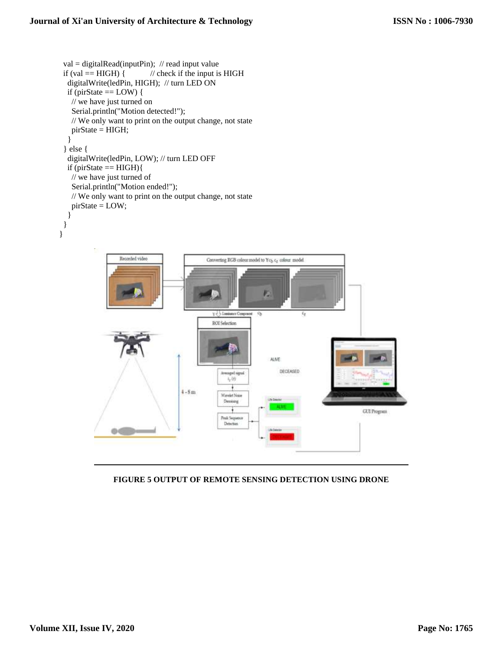```
val = digitalRead(inputPin); // read input value
 if (val == HIGH) { // check if the input is HIGH
   digitalWrite(ledPin, HIGH); // turn LED ON
  if (pirState == LOW) {
     // we have just turned on
     Serial.println("Motion detected!");
     // We only want to print on the output change, not state
     pirState = HIGH;
    }
  } else {
   digitalWrite(ledPin, LOW); // turn LED OFF
  if (pirState == HIGH)\{ // we have just turned of
     Serial.println("Motion ended!");
     // We only want to print on the output change, not state
     pirState = LOW;
    }
  }
}
                       Recorded video
                                                          Converting RGB colour model to \mathrm{Yc}_{\mathrm{b}}\,\mathrm{c}_{\mathrm{f}} colour model
                                                                                 P.
                                                            y J. J. Expirator Coape
                                                                              \mathbb{Q}_2¢,
                                                            ROI Selection
                                                                                   ALME
                                                                                       DECEASED
                                                                Arrespect signal
                                                                  \mathbf{r}_{\mathrm{P}} (t)
                                                4 - 8mWavelet Noise
                                                                 Descene
                                                                    \ddot{\phantom{1}}GUI Program
                                                                Peak Sequence<br>Detection
                    66
```
# **FIGURE 5 OUTPUT OF REMOTE SENSING DETECTION USING DRONE**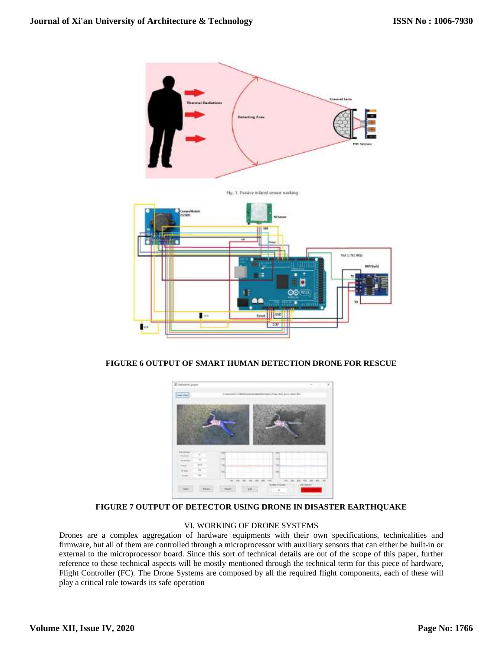

## **FIGURE 6 OUTPUT OF SMART HUMAN DETECTION DRONE FOR RESCUE**



## **FIGURE 7 OUTPUT OF DETECTOR USING DRONE IN DISASTER EARTHQUAKE**

## VI. WORKING OF DRONE SYSTEMS

Drones are a complex aggregation of hardware equipments with their own specifications, technicalities and firmware, but all of them are controlled through a microprocessor with auxiliary sensors that can either be built-in or external to the microprocessor board. Since this sort of technical details are out of the scope of this paper, further reference to these technical aspects will be mostly mentioned through the technical term for this piece of hardware, Flight Controller (FC). The Drone Systems are composed by all the required flight components, each of these will play a critical role towards its safe operation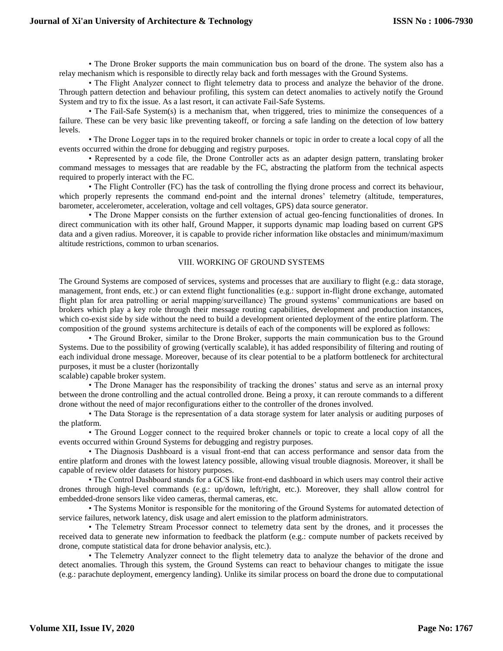• The Drone Broker supports the main communication bus on board of the drone. The system also has a relay mechanism which is responsible to directly relay back and forth messages with the Ground Systems.

• The Flight Analyzer connect to flight telemetry data to process and analyze the behavior of the drone. Through pattern detection and behaviour profiling, this system can detect anomalies to actively notify the Ground System and try to fix the issue. As a last resort, it can activate Fail-Safe Systems.

• The Fail-Safe System(s) is a mechanism that, when triggered, tries to minimize the consequences of a failure. These can be very basic like preventing takeoff, or forcing a safe landing on the detection of low battery levels.

• The Drone Logger taps in to the required broker channels or topic in order to create a local copy of all the events occurred within the drone for debugging and registry purposes.

• Represented by a code file, the Drone Controller acts as an adapter design pattern, translating broker command messages to messages that are readable by the FC, abstracting the platform from the technical aspects required to properly interact with the FC.

• The Flight Controller (FC) has the task of controlling the flying drone process and correct its behaviour, which properly represents the command end-point and the internal drones' telemetry (altitude, temperatures, barometer, accelerometer, acceleration, voltage and cell voltages, GPS) data source generator.

• The Drone Mapper consists on the further extension of actual geo-fencing functionalities of drones. In direct communication with its other half, Ground Mapper, it supports dynamic map loading based on current GPS data and a given radius. Moreover, it is capable to provide richer information like obstacles and minimum/maximum altitude restrictions, common to urban scenarios.

## VIII. WORKING OF GROUND SYSTEMS

The Ground Systems are composed of services, systems and processes that are auxiliary to flight (e.g.: data storage, management, front ends, etc.) or can extend flight functionalities (e.g.: support in-flight drone exchange, automated flight plan for area patrolling or aerial mapping/surveillance) The ground systems' communications are based on brokers which play a key role through their message routing capabilities, development and production instances, which co-exist side by side without the need to build a development oriented deployment of the entire platform. The composition of the ground systems architecture is details of each of the components will be explored as follows:

• The Ground Broker, similar to the Drone Broker, supports the main communication bus to the Ground Systems. Due to the possibility of growing (vertically scalable), it has added responsibility of filtering and routing of each individual drone message. Moreover, because of its clear potential to be a platform bottleneck for architectural purposes, it must be a cluster (horizontally

scalable) capable broker system.

• The Drone Manager has the responsibility of tracking the drones' status and serve as an internal proxy between the drone controlling and the actual controlled drone. Being a proxy, it can reroute commands to a different drone without the need of major reconfigurations either to the controller of the drones involved.

• The Data Storage is the representation of a data storage system for later analysis or auditing purposes of the platform.

• The Ground Logger connect to the required broker channels or topic to create a local copy of all the events occurred within Ground Systems for debugging and registry purposes.

• The Diagnosis Dashboard is a visual front-end that can access performance and sensor data from the entire platform and drones with the lowest latency possible, allowing visual trouble diagnosis. Moreover, it shall be capable of review older datasets for history purposes.

• The Control Dashboard stands for a GCS like front-end dashboard in which users may control their active drones through high-level commands (e.g.: up/down, left/right, etc.). Moreover, they shall allow control for embedded-drone sensors like video cameras, thermal cameras, etc.

• The Systems Monitor is responsible for the monitoring of the Ground Systems for automated detection of service failures, network latency, disk usage and alert emission to the platform administrators.

• The Telemetry Stream Processor connect to telemetry data sent by the drones, and it processes the received data to generate new information to feedback the platform (e.g.: compute number of packets received by drone, compute statistical data for drone behavior analysis, etc.).

• The Telemetry Analyzer connect to the flight telemetry data to analyze the behavior of the drone and detect anomalies. Through this system, the Ground Systems can react to behaviour changes to mitigate the issue (e.g.: parachute deployment, emergency landing). Unlike its similar process on board the drone due to computational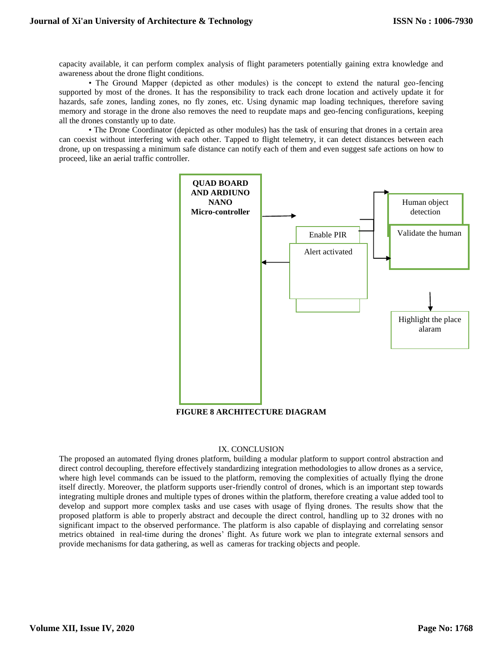capacity available, it can perform complex analysis of flight parameters potentially gaining extra knowledge and awareness about the drone flight conditions.

• The Ground Mapper (depicted as other modules) is the concept to extend the natural geo-fencing supported by most of the drones. It has the responsibility to track each drone location and actively update it for hazards, safe zones, landing zones, no fly zones, etc. Using dynamic map loading techniques, therefore saving memory and storage in the drone also removes the need to reupdate maps and geo-fencing configurations, keeping all the drones constantly up to date.

• The Drone Coordinator (depicted as other modules) has the task of ensuring that drones in a certain area can coexist without interfering with each other. Tapped to flight telemetry, it can detect distances between each drone, up on trespassing a minimum safe distance can notify each of them and even suggest safe actions on how to proceed, like an aerial traffic controller.



## **FIGURE 8 ARCHITECTURE DIAGRAM**

#### IX. CONCLUSION

The proposed an automated flying drones platform, building a modular platform to support control abstraction and direct control decoupling, therefore effectively standardizing integration methodologies to allow drones as a service, where high level commands can be issued to the platform, removing the complexities of actually flying the drone itself directly. Moreover, the platform supports user-friendly control of drones, which is an important step towards integrating multiple drones and multiple types of drones within the platform, therefore creating a value added tool to develop and support more complex tasks and use cases with usage of flying drones. The results show that the proposed platform is able to properly abstract and decouple the direct control, handling up to 32 drones with no significant impact to the observed performance. The platform is also capable of displaying and correlating sensor metrics obtained in real-time during the drones' flight. As future work we plan to integrate external sensors and provide mechanisms for data gathering, as well as cameras for tracking objects and people.